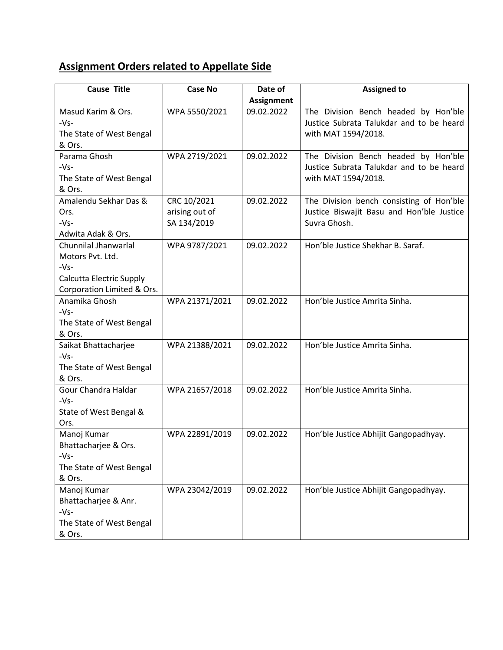## **Assignment Orders related to Appellate Side**

| <b>Cause Title</b>            | <b>Case No</b> | Date of           | <b>Assigned to</b>                        |
|-------------------------------|----------------|-------------------|-------------------------------------------|
|                               |                | <b>Assignment</b> |                                           |
| Masud Karim & Ors.            | WPA 5550/2021  | 09.02.2022        | The Division Bench headed by Hon'ble      |
| $-Vs-$                        |                |                   | Justice Subrata Talukdar and to be heard  |
| The State of West Bengal      |                |                   | with MAT 1594/2018.                       |
| & Ors.                        |                |                   |                                           |
| Parama Ghosh                  | WPA 2719/2021  | 09.02.2022        | The Division Bench headed by Hon'ble      |
| $-Vs-$                        |                |                   | Justice Subrata Talukdar and to be heard  |
| The State of West Bengal      |                |                   | with MAT 1594/2018.                       |
| & Ors.                        |                |                   |                                           |
| Amalendu Sekhar Das &         | CRC 10/2021    | 09.02.2022        | The Division bench consisting of Hon'ble  |
| Ors.                          | arising out of |                   | Justice Biswajit Basu and Hon'ble Justice |
| $-Vs-$                        | SA 134/2019    |                   | Suvra Ghosh.                              |
| Adwita Adak & Ors.            |                |                   |                                           |
| Chunnilal Jhanwarlal          | WPA 9787/2021  | 09.02.2022        | Hon'ble Justice Shekhar B. Saraf.         |
| Motors Pvt. Ltd.              |                |                   |                                           |
| $-Vs-$                        |                |                   |                                           |
| Calcutta Electric Supply      |                |                   |                                           |
| Corporation Limited & Ors.    |                |                   |                                           |
| Anamika Ghosh                 | WPA 21371/2021 | 09.02.2022        | Hon'ble Justice Amrita Sinha.             |
| $-Vs-$                        |                |                   |                                           |
| The State of West Bengal      |                |                   |                                           |
| & Ors.                        |                |                   |                                           |
| Saikat Bhattacharjee          | WPA 21388/2021 | 09.02.2022        | Hon'ble Justice Amrita Sinha.             |
| $-Vs-$                        |                |                   |                                           |
| The State of West Bengal      |                |                   |                                           |
| & Ors.<br>Gour Chandra Haldar |                | 09.02.2022        | Hon'ble Justice Amrita Sinha.             |
|                               | WPA 21657/2018 |                   |                                           |
| $-Vs-$                        |                |                   |                                           |
| State of West Bengal &        |                |                   |                                           |
| Ors.<br>Manoj Kumar           | WPA 22891/2019 | 09.02.2022        | Hon'ble Justice Abhijit Gangopadhyay.     |
| Bhattacharjee & Ors.          |                |                   |                                           |
| $-Vs-$                        |                |                   |                                           |
| The State of West Bengal      |                |                   |                                           |
| & Ors.                        |                |                   |                                           |
| Manoj Kumar                   | WPA 23042/2019 | 09.02.2022        | Hon'ble Justice Abhijit Gangopadhyay.     |
| Bhattacharjee & Anr.          |                |                   |                                           |
| $-Vs-$                        |                |                   |                                           |
| The State of West Bengal      |                |                   |                                           |
| & Ors.                        |                |                   |                                           |